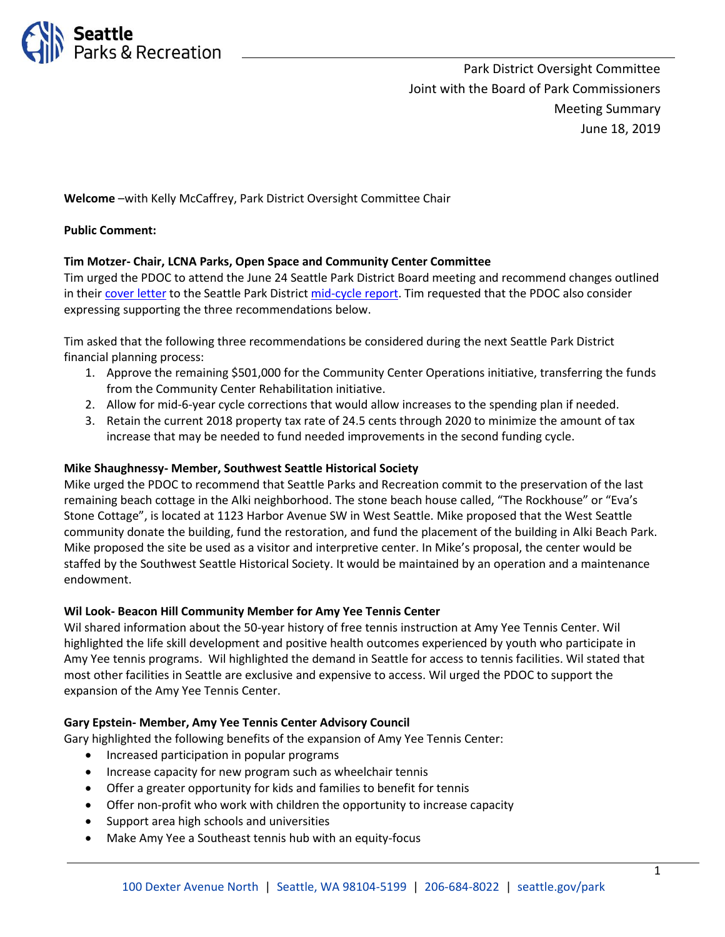

Park District Oversight Committee Joint with the Board of Park Commissioners Meeting Summary June 18, 2019

**Welcome** –with Kelly McCaffrey, Park District Oversight Committee Chair

### **Public Comment:**

## **Tim Motzer- Chair, LCNA Parks, Open Space and Community Center Committee**

Tim urged the PDOC to attend the June 24 Seattle Park District Board meeting and recommend changes outlined in thei[r cover letter](http://www.seattle.gov/Documents/Departments/ParksAndRecreation/PDOC/Agendas/2018%20Mid-Cycle%20PDOC%20Cover%20Letter.%20Final.pdf) to the Seattle Park Distric[t mid-cycle report.](http://www.seattle.gov/Documents/Departments/ParksAndRecreation/PDOC/Agendas/PDOC_MidCycleReport-FINAL.pdf) Tim requested that the PDOC also consider expressing supporting the three recommendations below.

Tim asked that the following three recommendations be considered during the next Seattle Park District financial planning process:

- 1. Approve the remaining \$501,000 for the Community Center Operations initiative, transferring the funds from the Community Center Rehabilitation initiative.
- 2. Allow for mid-6-year cycle corrections that would allow increases to the spending plan if needed.
- 3. Retain the current 2018 property tax rate of 24.5 cents through 2020 to minimize the amount of tax increase that may be needed to fund needed improvements in the second funding cycle.

### **Mike Shaughnessy- Member, Southwest Seattle Historical Society**

Mike urged the PDOC to recommend that Seattle Parks and Recreation commit to the preservation of the last remaining beach cottage in the Alki neighborhood. The stone beach house called, "The Rockhouse" or "Eva's Stone Cottage", is located at 1123 Harbor Avenue SW in West Seattle. Mike proposed that the West Seattle community donate the building, fund the restoration, and fund the placement of the building in Alki Beach Park. Mike proposed the site be used as a visitor and interpretive center. In Mike's proposal, the center would be staffed by the Southwest Seattle Historical Society. It would be maintained by an operation and a maintenance endowment.

### **Wil Look- Beacon Hill Community Member for Amy Yee Tennis Center**

Wil shared information about the 50-year history of free tennis instruction at Amy Yee Tennis Center. Wil highlighted the life skill development and positive health outcomes experienced by youth who participate in Amy Yee tennis programs. Wil highlighted the demand in Seattle for access to tennis facilities. Wil stated that most other facilities in Seattle are exclusive and expensive to access. Wil urged the PDOC to support the expansion of the Amy Yee Tennis Center.

#### **Gary Epstein- Member, Amy Yee Tennis Center Advisory Council**

- Gary highlighted the following benefits of the expansion of Amy Yee Tennis Center:
	- Increased participation in popular programs
	- Increase capacity for new program such as wheelchair tennis
	- Offer a greater opportunity for kids and families to benefit for tennis
	- Offer non-profit who work with children the opportunity to increase capacity
	- Support area high schools and universities
	- Make Amy Yee a Southeast tennis hub with an equity-focus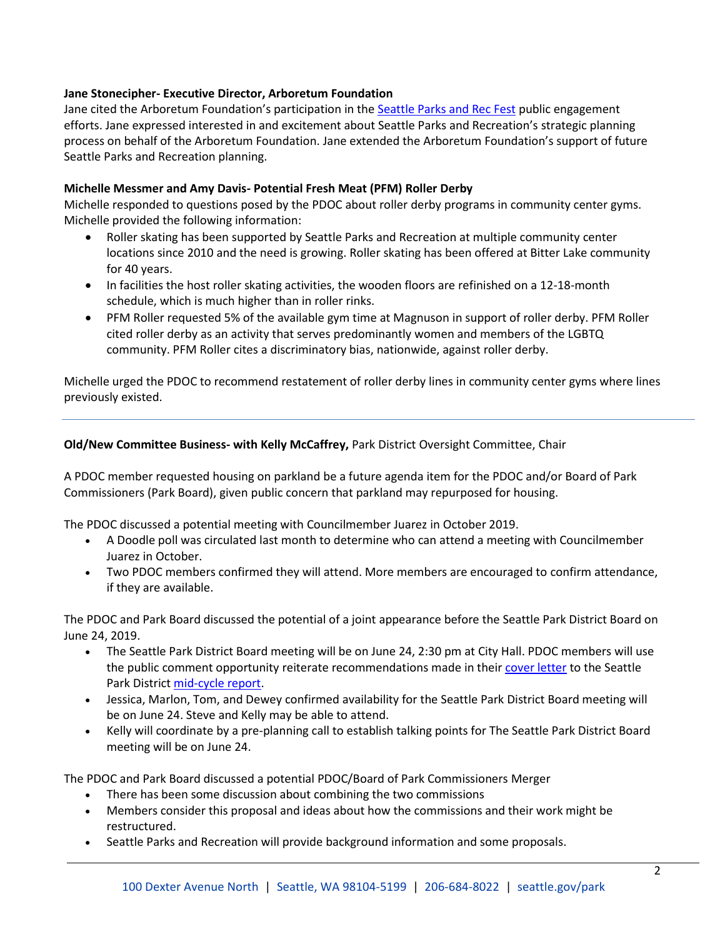## **Jane Stonecipher- Executive Director, Arboretum Foundation**

Jane cited the Arboretum Foundation's participation in the [Seattle Parks and Rec Fest](https://parkways.seattle.gov/2019/05/02/parks-rec-fest-free-events-at-green-lake-and-yesler-terrace-parks/) public engagement efforts. Jane expressed interested in and excitement about Seattle Parks and Recreation's strategic planning process on behalf of the Arboretum Foundation. Jane extended the Arboretum Foundation's support of future Seattle Parks and Recreation planning.

## **Michelle Messmer and Amy Davis- Potential Fresh Meat (PFM) Roller Derby**

Michelle responded to questions posed by the PDOC about roller derby programs in community center gyms. Michelle provided the following information:

- Roller skating has been supported by Seattle Parks and Recreation at multiple community center locations since 2010 and the need is growing. Roller skating has been offered at Bitter Lake community for 40 years.
- In facilities the host roller skating activities, the wooden floors are refinished on a 12-18-month schedule, which is much higher than in roller rinks.
- PFM Roller requested 5% of the available gym time at Magnuson in support of roller derby. PFM Roller cited roller derby as an activity that serves predominantly women and members of the LGBTQ community. PFM Roller cites a discriminatory bias, nationwide, against roller derby.

Michelle urged the PDOC to recommend restatement of roller derby lines in community center gyms where lines previously existed.

## **Old/New Committee Business- with Kelly McCaffrey,** Park District Oversight Committee, Chair

A PDOC member requested housing on parkland be a future agenda item for the PDOC and/or Board of Park Commissioners (Park Board), given public concern that parkland may repurposed for housing.

The PDOC discussed a potential meeting with Councilmember Juarez in October 2019.

- A Doodle poll was circulated last month to determine who can attend a meeting with Councilmember Juarez in October.
- Two PDOC members confirmed they will attend. More members are encouraged to confirm attendance, if they are available.

The PDOC and Park Board discussed the potential of a joint appearance before the Seattle Park District Board on June 24, 2019.

- The Seattle Park District Board meeting will be on June 24, 2:30 pm at City Hall. PDOC members will use the public comment opportunity reiterate recommendations made in thei[r cover letter](http://www.seattle.gov/Documents/Departments/ParksAndRecreation/PDOC/Agendas/2018%20Mid-Cycle%20PDOC%20Cover%20Letter.%20Final.pdf) to the Seattle Park Distric[t mid-cycle report.](http://www.seattle.gov/Documents/Departments/ParksAndRecreation/PDOC/Agendas/PDOC_MidCycleReport-FINAL.pdf)
- Jessica, Marlon, Tom, and Dewey confirmed availability for the Seattle Park District Board meeting will be on June 24. Steve and Kelly may be able to attend.
- Kelly will coordinate by a pre-planning call to establish talking points for The Seattle Park District Board meeting will be on June 24.

The PDOC and Park Board discussed a potential PDOC/Board of Park Commissioners Merger

- There has been some discussion about combining the two commissions
- Members consider this proposal and ideas about how the commissions and their work might be restructured.
- Seattle Parks and Recreation will provide background information and some proposals.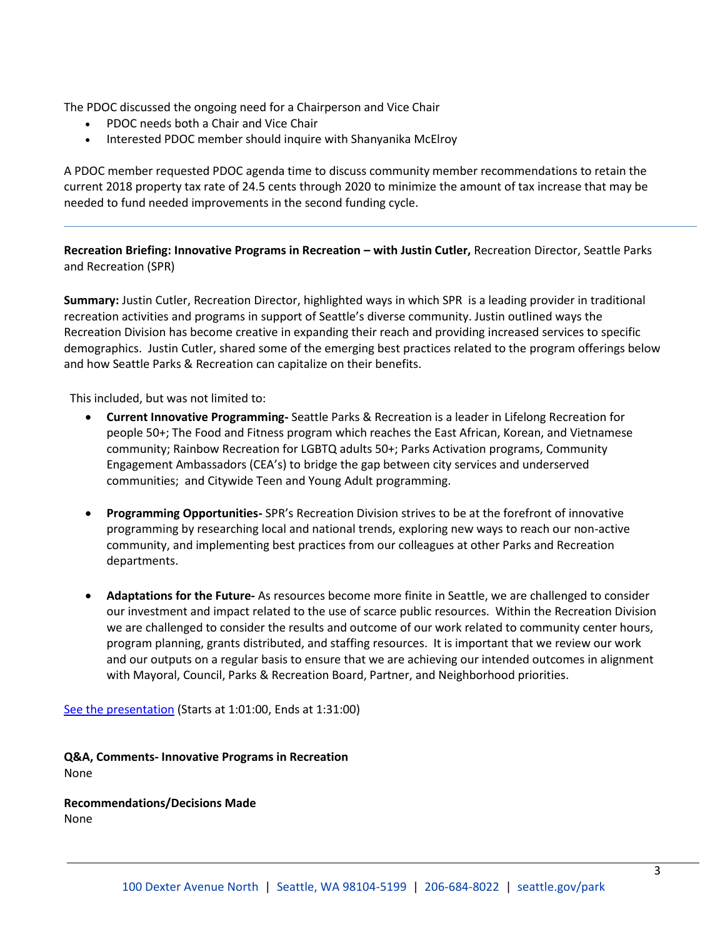The PDOC discussed the ongoing need for a Chairperson and Vice Chair

- PDOC needs both a Chair and Vice Chair
- Interested PDOC member should inquire with Shanyanika McElroy

A PDOC member requested PDOC agenda time to discuss community member recommendations to retain the current 2018 property tax rate of 24.5 cents through 2020 to minimize the amount of tax increase that may be needed to fund needed improvements in the second funding cycle.

**Recreation Briefing: Innovative Programs in Recreation – with Justin Cutler,** Recreation Director, Seattle Parks and Recreation (SPR)

**Summary:** Justin Cutler, Recreation Director, highlighted ways in which SPR is a leading provider in traditional recreation activities and programs in support of Seattle's diverse community. Justin outlined ways the Recreation Division has become creative in expanding their reach and providing increased services to specific demographics. Justin Cutler, shared some of the emerging best practices related to the program offerings below and how Seattle Parks & Recreation can capitalize on their benefits.

This included, but was not limited to:

- **Current Innovative Programming-** Seattle Parks & Recreation is a leader in Lifelong Recreation for people 50+; The Food and Fitness program which reaches the East African, Korean, and Vietnamese community; Rainbow Recreation for LGBTQ adults 50+; Parks Activation programs, Community Engagement Ambassadors (CEA's) to bridge the gap between city services and underserved communities; and Citywide Teen and Young Adult programming.
- **Programming Opportunities-** SPR's Recreation Division strives to be at the forefront of innovative programming by researching local and national trends, exploring new ways to reach our non-active community, and implementing best practices from our colleagues at other Parks and Recreation departments.
- **Adaptations for the Future-** As resources become more finite in Seattle, we are challenged to consider our investment and impact related to the use of scarce public resources. Within the Recreation Division we are challenged to consider the results and outcome of our work related to community center hours, program planning, grants distributed, and staffing resources. It is important that we review our work and our outputs on a regular basis to ensure that we are achieving our intended outcomes in alignment with Mayoral, Council, Parks & Recreation Board, Partner, and Neighborhood priorities.

[See the presentation](http://www.seattlechannel.org/parksBoard/?videoid=x105319) (Starts at 1:01:00, Ends at 1:31:00)

**Q&A, Comments- Innovative Programs in Recreation**  None

**Recommendations/Decisions Made** None